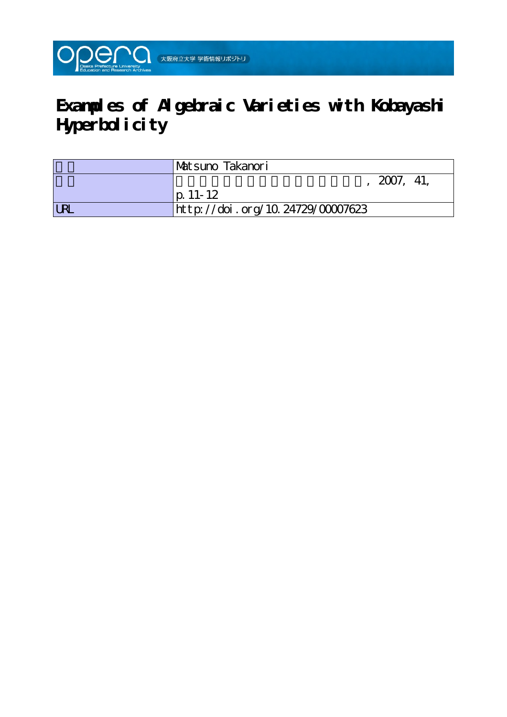

## **Examples of Algebraic Varieties with Kobayashi Hyperbolicity**

|            | <b>Matsuno Takanori</b>          |
|------------|----------------------------------|
|            | 2007, 41,                        |
|            | $ p. 11-12 $                     |
| <b>LRL</b> | http://doi.org/10.24729/00007623 |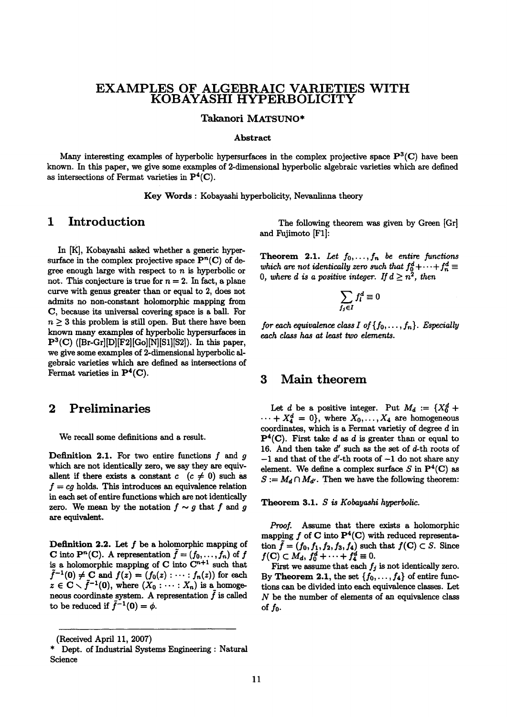# EXAMPLES OF ALGEBRAIC VARIETIES WITH KOBAYASHI HYPERBOLICITY

Takanori MATSUNO\*

#### Abstract

Many interesting examples of hyperbolic hypersurfaces in the complex projective space  $\mathbf{P}^3(\mathbf{C})$  have been known. ln this paper, we give some examples of 2-dimensional hyperbolic algebraic varieties which are defined as intersections of Fermat varieties in  $P^4(C)$ .

Key Words : Kobayashi hyperbolieity, Nevanlinna theory

### 1 Introduction

 In [K], Kobayashi asked whether a generic hypersurface in the complex projective space  $\mathbf{P}^{n}(\mathbf{C})$  of degree enough large with respect to  $n$  is hyperbolic or not. This conjecture is true for  $n = 2$ . In fact, a plane curve with genus greater than or equal to 2, does not admits no non-constant holomorphic mapping from C, because its universal covering space is aball. For  $n \geq 3$  this problem is still open. But there have been known many examples of hyperbolic hypersurfaoes in  $P^3(C)$  ([Br-Gr][D][F2][Go][N][S1][S2]). In this paper, we give some examples of 2-dimensional hyperbolic algebraic varieties which are defined as intersections of Fermat varieties in  $P^4(C)$ .

### 2 Preliminaries

We recall some definitions and a result.

**Definition 2.1.** For two entire functions  $f$  and  $g$ which are not identically zero, we say they are equivallent if there exists a constant  $c$   $(c \neq 0)$  such as  $f = cg$  holds. This introduces an equivalence relation in each set of entire functions which are not identically zero. We mean by the notation  $f \sim g$  that f and g are equivalent.

**Definition 2.2.** Let  $f$  be a holomorphic mapping of C into  $\mathbf{P}^n(\mathbf{C})$ . A representation  $f = (f_0, f_1)$ is a holomorphic mapping of C into  $\mathbb{C}^{n+1}$  such that  $\tilde{f}^{-1}(0) \neq C$  and  $f(z) = (f_0(z) : \cdots : f_n(z))$  for each  $z \in \mathbb{C} \setminus \tilde{f}^{-1}(0)$ , where  $(X_0 : \cdots : X_n)$  is a homogeneous coordinate system. A representation  $\tilde{f}$  is called to be reduced if  $\tilde{f}^{-1}(0) = \phi$ .

 The following theorem was given by Green [Gr] and Fujimoto [F1]:

**Theorem 2.1.** Let  $f_0, \ldots, f_n$  be entire functions which are not identically zero such that  $f_0^d+\cdots+f_n^d\equiv$ 0, where d is a positive integer. If  $d \geq n^2$ , then

$$
\sum_{f_j \in I} f_l^d \equiv 0
$$

for each equivalence class I of  $\{f_0, \ldots, f_n\}$ . Especially each class has at least two elements.

#### 3 Main theorem

Let d be a positive integer. Put  $M_d := \{X_0^d +$  $\cdots + X_4^d = 0$ , where  $X_0, \ldots, X_4$  are homogeneous coordinates, which is a Fermat varietiy of degree  $d$  in  $P<sup>4</sup>(C)$ . First take d as d is greater than or equal to 16. And then tske d' such as the set of d-th roots of  $-1$  and that of the d'-th roots of  $-1$  do not share any element. We define a complex surface S in  $\mathbf{P}^4(C)$  as  $S := M_d \cap M_{d'}$ . Then we have the following theorem:

Theorem 3.1.  $S$  is Kobayashi hyperbolic.

Proof. Assume that there exists a holomorphic mapping f of C into  $P^4(C)$  with reduced representation  $\tilde{f} = (f_0, f_1, f_2, f_3, f_4)$  such that  $f(C) \subset S$ . Since  $f(\mathbf{C})\subset M_d$ ,  $f_0^d+\cdots+f_4^d\equiv 0$ .

First we assume that each  $f_j$  is not identically zero. By Theorem 2.1, the set  $\{f_0, \ldots, f_4\}$  of entire functions can be divided into each equivalence classes. Let N be the number of elements of an equivalence class of  $f_0$ .

 <sup>(</sup>Received Apri1 11, 2007)

<sup>\*</sup> Dept. of lndustrial Systems Engineering : Natural Science